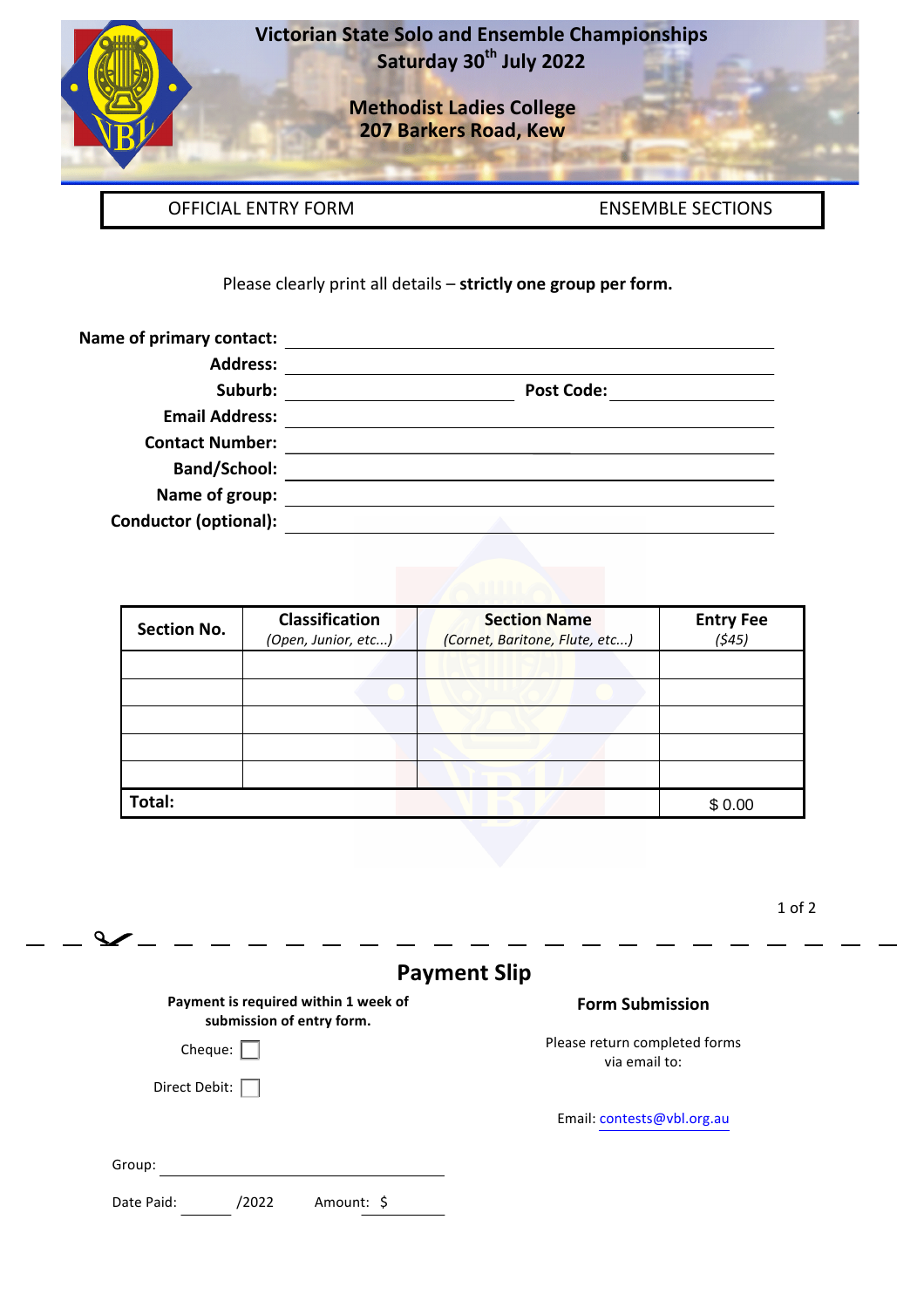

**Victorian State Solo and Ensemble Championships Saturday 30th July 2022**

> **Methodist Ladies College 207 Barkers Road, Kew**

OFFICIAL ENTRY FORM ENSEMBLE SECTIONS

Please clearly print all details - strictly one group per form.

| Name of primary contact:     |                   |
|------------------------------|-------------------|
| <b>Address:</b>              |                   |
| Suburb:                      | <b>Post Code:</b> |
| <b>Email Address:</b>        |                   |
| <b>Contact Number:</b>       |                   |
| <b>Band/School:</b>          |                   |
| Name of group:               |                   |
| <b>Conductor (optional):</b> |                   |

| <b>Section No.</b> | <b>Classification</b><br>(Open, Junior, etc) | <b>Section Name</b><br>(Cornet, Baritone, Flute, etc) | <b>Entry Fee</b><br>(545) |
|--------------------|----------------------------------------------|-------------------------------------------------------|---------------------------|
|                    |                                              |                                                       |                           |
|                    |                                              |                                                       |                           |
|                    |                                              |                                                       |                           |
|                    |                                              |                                                       |                           |
| Total:             |                                              |                                                       | \$0.00                    |

1 of 2

| <b>Payment Slip</b>                                               |                                                |  |  |
|-------------------------------------------------------------------|------------------------------------------------|--|--|
| Payment is required within 1 week of<br>submission of entry form. | <b>Form Submission</b>                         |  |  |
| Cheque: $\vert$                                                   | Please return completed forms<br>via email to: |  |  |
| Direct Debit:                                                     |                                                |  |  |
|                                                                   | Email: contests@vbl.org.au                     |  |  |
| Group:                                                            |                                                |  |  |
| Date Paid:<br>/2022<br>Amount: \$                                 |                                                |  |  |